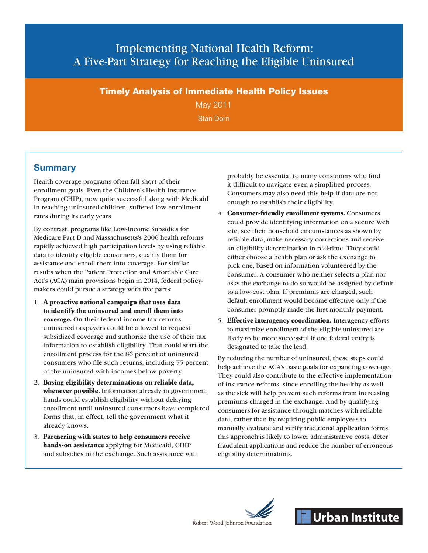# Implementing National Health Reform: A Five-Part Strategy for Reaching the Eligible Uninsured

#### Timely Analysis of Immediate Health Policy Issues

May 2011 Stan Dorn

### **Summary**

Health coverage programs often fall short of their enrollment goals. Even the Children's Health Insurance Program (CHIP), now quite successful along with Medicaid in reaching uninsured children, suffered low enrollment rates during its early years.

By contrast, programs like Low-Income Subsidies for Medicare Part D and Massachusetts's 2006 health reforms rapidly achieved high participation levels by using reliable data to identify eligible consumers, qualify them for assistance and enroll them into coverage. For similar results when the Patient Protection and Affordable Care Act's (ACA) main provisions begin in 2014, federal policymakers could pursue a strategy with five parts:

- 1. **A proactive national campaign that uses data to identify the uninsured and enroll them into coverage.** On their federal income tax returns, uninsured taxpayers could be allowed to request subsidized coverage and authorize the use of their tax information to establish eligibility. That could start the enrollment process for the 86 percent of uninsured consumers who file such returns, including 75 percent of the uninsured with incomes below poverty.
- 2. **Basing eligibility determinations on reliable data, whenever possible.** Information already in government hands could establish eligibility without delaying enrollment until uninsured consumers have completed forms that, in effect, tell the government what it already knows.
- 3. **Partnering with states to help consumers receive hands-on assistance** applying for Medicaid, CHIP and subsidies in the exchange. Such assistance will

probably be essential to many consumers who find it difficult to navigate even a simplified process. Consumers may also need this help if data are not enough to establish their eligibility.

- 4. **Consumer-friendly enrollment systems.** Consumers could provide identifying information on a secure Web site, see their household circumstances as shown by reliable data, make necessary corrections and receive an eligibility determination in real-time. They could either choose a health plan or ask the exchange to pick one, based on information volunteered by the consumer. A consumer who neither selects a plan nor asks the exchange to do so would be assigned by default to a low-cost plan. If premiums are charged, such default enrollment would become effective only if the consumer promptly made the first monthly payment.
- 5. **Effective interagency coordination.** Interagency efforts to maximize enrollment of the eligible uninsured are likely to be more successful if one federal entity is designated to take the lead.

By reducing the number of uninsured, these steps could help achieve the ACA's basic goals for expanding coverage. They could also contribute to the effective implementation of insurance reforms, since enrolling the healthy as well as the sick will help prevent such reforms from increasing premiums charged in the exchange. And by qualifying consumers for assistance through matches with reliable data, rather than by requiring public employees to manually evaluate and verify traditional application forms, this approach is likely to lower administrative costs, deter fraudulent applications and reduce the number of erroneous eligibility determinations.



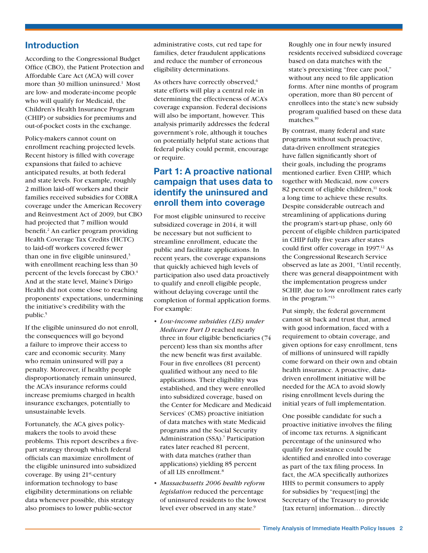#### **Introduction**

According to the Congressional Budget Office (CBO), the Patient Protection and Affordable Care Act (ACA) will cover more than 30 million uninsured.<sup>1</sup> Most are low- and moderate-income people who will qualify for Medicaid, the Children's Health Insurance Program (CHIP) or subsidies for premiums and out-of-pocket costs in the exchange.

Policy-makers cannot count on enrollment reaching projected levels. Recent history is filled with coverage expansions that failed to achieve anticipated results, at both federal and state levels. For example, roughly 2 million laid-off workers and their families received subsidies for COBRA coverage under the American Recovery and Reinvestment Act of 2009, but CBO had projected that 7 million would benefit.<sup>[2](#page-8-1)</sup> An earlier program providing Health Coverage Tax Credits (HCTC) to laid-off workers covered fewer than one in five eligible uninsured, $3$ with enrollment reaching less than 30 percent of the levels forecast by CBO.<sup>4</sup> And at the state level, Maine's Dirigo Health did not come close to reaching proponents' expectations, undermining the initiative's credibility with the public.<sup>5</sup>

If the eligible uninsured do not enroll, the consequences will go beyond a failure to improve their access to care and economic security. Many who remain uninsured will pay a penalty. Moreover, if healthy people disproportionately remain uninsured, the ACA's insurance reforms could increase premiums charged in health insurance exchanges, potentially to unsustainable levels.

Fortunately, the ACA gives policymakers the tools to avoid these problems. This report describes a fivepart strategy through which federal officials can maximize enrollment of the eligible uninsured into subsidized coverage. By using 21st-century information technology to base eligibility determinations on reliable data whenever possible, this strategy also promises to lower public-sector

administrative costs, cut red tape for families, deter fraudulent applications and reduce the number of erroneous eligibility determinations.

As others have correctly observed,<sup>6</sup> state efforts will play a central role in determining the effectiveness of ACA's coverage expansion. Federal decisions will also be important, however. This analysis primarily addresses the federal government's role, although it touches on potentially helpful state actions that federal policy could permit, encourage or require.

### **Part 1: A proactive national campaign that uses data to identify the uninsured and enroll them into coverage**

For most eligible uninsured to receive subsidized coverage in 2014, it will be necessary but not sufficient to streamline enrollment, educate the public and facilitate applications. In recent years, the coverage expansions that quickly achieved high levels of participation also used data proactively to qualify and enroll eligible people, without delaying coverage until the completion of formal application forms. For example:

- • *Low-income subsidies (LIS) under Medicare Part D* reached nearly three in four eligible beneficiaries (74 percent) less than six months after the new benefit was first available. Four in five enrollees (81 percent) qualified without any need to file applications. Their eligibility was established, and they were enrolled into subsidized coverage, based on the Center for Medicare and Medicaid Services' (CMS) proactive initiation of data matches with state Medicaid programs and the Social Security Administration (SSA).<sup>7</sup> Participation rates later reached 81 percent, with data matches (rather than applications) yielding 85 percent of all LIS enrollment[.8](#page-8-7)
- • *Massachusetts 2006 health reform legislation* reduced the percentage of uninsured residents to the lowest level ever observed in any state.<sup>9</sup>

Roughly one in four newly insured residents received subsidized coverage based on data matches with the state's preexisting "free care pool," without any need to file application forms. After nine months of program operation, more than 80 percent of enrollees into the state's new subsidy program qualified based on these data matches.<sup>10</sup>

By contrast, many federal and state programs without such proactive, data-driven enrollment strategies have fallen significantly short of their goals, including the programs mentioned earlier. Even CHIP, which together with Medicaid, now covers 82 percent of eligible children, $<sup>11</sup>$  took</sup> a long time to achieve these results. Despite considerable outreach and streamlining of applications during the program's start-up phase, only 60 percent of eligible children participated in CHIP fully five years after states could first offer coverage in 1997.<sup>12</sup> As the Congressional Research Service observed as late as 2001, "Until recently, there was general disappointment with the implementation progress under SCHIP, due to low enrollment rates early in the program.["13](#page-8-12)

Put simply, the federal government cannot sit back and trust that, armed with good information, faced with a requirement to obtain coverage, and given options for easy enrollment, tens of millions of uninsured will rapidly come forward on their own and obtain health insurance. A proactive, datadriven enrollment initiative will be needed for the ACA to avoid slowly rising enrollment levels during the initial years of full implementation.

One possible candidate for such a proactive initiative involves the filing of income tax returns. A significant percentage of the uninsured who qualify for assistance could be identified and enrolled into coverage as part of the tax filing process. In fact, the ACA specifically authorizes HHS to permit consumers to apply for subsidies by "request[ing] the Secretary of the Treasury to provide [tax return] information... directly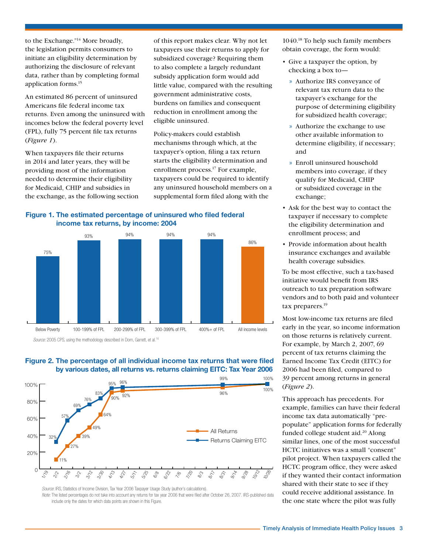to the Exchange.["14](#page-8-13) More broadly, the legislation permits consumers to initiate an eligibility determination by authorizing the disclosure of relevant data, rather than by completing formal application forms[.15](#page-8-14)

An estimated 86 percent of uninsured Americans file federal income tax returns. Even among the uninsured with incomes below the federal poverty level (FPL), fully 75 percent file tax returns (*Figure 1*).

When taxpayers file their returns in 2014 and later years, they will be providing most of the information needed to determine their eligibility for Medicaid, CHIP and subsidies in the exchange, as the following section

of this report makes clear. Why not let taxpayers use their returns to apply for subsidized coverage? Requiring them to also complete a largely redundant subsidy application form would add little value, compared with the resulting government administrative costs, burdens on families and consequent reduction in enrollment among the eligible uninsured.

Policy-makers could establish mechanisms through which, at the taxpayer's option, filing a tax return starts the eligibility determination and enrollment process.<sup>17</sup> For example, taxpayers could be required to identify any uninsured household members on a supplemental form filed along with the

**Figure 1. The estimated percentage of uninsured who filed federal income tax returns, by income: 2004**



*Source:* 2005 CPS, using the methodology described in Dorn, Garrett, et al.<sup>16</sup>



#### **Figure 2. The percentage of all individual income tax returns that were filed by various dates, all returns vs. returns claiming EITC: Tax Year 2006**

*Source*: IRS, Statistics of Income Division, Tax Year 2006 Taxpayer Usage Study (author's calculations).

Note: The listed percentages do not take into account any returns for tax year 2006 that were filed after October 26, 2007. IRS-published data include only the dates for which data points are shown in this Figure.

1040[.18](#page-8-16) To help such family members obtain coverage, the form would:

- Give a taxpayer the option, by checking a box to—
	- » Authorize IRS conveyance of relevant tax return data to the taxpayer's exchange for the purpose of determining eligibility for subsidized health coverage;
	- » Authorize the exchange to use other available information to determine eligibility, if necessary; and
	- » Enroll uninsured household members into coverage, if they qualify for Medicaid, CHIP or subsidized coverage in the exchange;
- • Ask for the best way to contact the taxpayer if necessary to complete the eligibility determination and enrollment process; and
- Provide information about health insurance exchanges and available health coverage subsidies.

To be most effective, such a tax-based initiative would benefit from IRS outreach to tax preparation software vendors and to both paid and volunteer tax preparers.<sup>19</sup>

Most low-income tax returns are filed early in the year, so income information on those returns is relatively current. For example, by March 2, 2007, 69 percent of tax returns claiming the Earned Income Tax Credit (EITC) for 2006 had been filed, compared to 39 percent among returns in general (*Figure 2*).

This approach has precedents. For example, families can have their federal income tax data automatically "prepopulate" application forms for federally funded college student aid.<sup>20</sup> Along similar lines, one of the most successful HCTC initiatives was a small "consent" pilot project. When taxpayers called the HCTC program office, they were asked if they wanted their contact information shared with their state to see if they could receive additional assistance. In the one state where the pilot was fully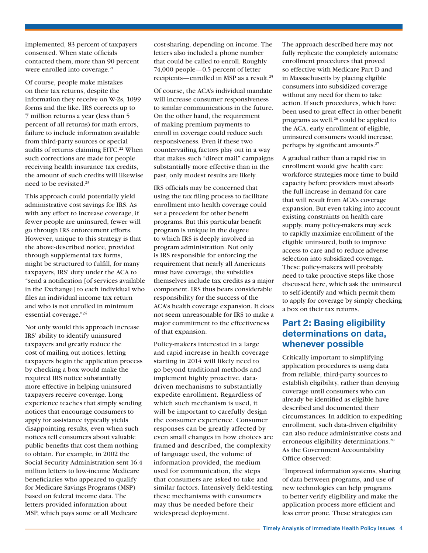implemented, 83 percent of taxpayers consented. When state officials contacted them, more than 90 percent were enrolled into coverage.<sup>[21](#page-8-20)</sup>

Of course, people make mistakes on their tax returns, despite the information they receive on W-2s, 1099 forms and the like. IRS corrects up to 7 million returns a year (less than 5 percent of all returns) for math errors, failure to include information available from third-party sources or special audits of returns claiming EITC.<sup>22</sup> When such corrections are made for people receiving health insurance tax credits, the amount of such credits will likewise need to be revisited.[23](#page-8-22)

This approach could potentially yield administrative cost savings for IRS. As with any effort to increase coverage, if fewer people are uninsured, fewer will go through IRS enforcement efforts. However, unique to this strategy is that the above-described notice, provided through supplemental tax forms, might be structured to fulfill, for many taxpayers, IRS' duty under the ACA to "send a notification [of services available in the Exchange] to each individual who files an individual income tax return and who is not enrolled in minimum essential coverage.["24](#page-8-23)

Not only would this approach increase IRS' ability to identify uninsured taxpayers and greatly reduce the cost of mailing out notices, letting taxpayers begin the application process by checking a box would make the required IRS notice substantially more effective in helping uninsured taxpayers receive coverage. Long experience teaches that simply sending notices that encourage consumers to apply for assistance typically yields disappointing results, even when such notices tell consumers about valuable public benefits that cost them nothing to obtain. For example, in 2002 the Social Security Administration sent 16.4 million letters to low-income Medicare beneficiaries who appeared to qualify for Medicare Savings Programs (MSP) based on federal income data. The letters provided information about MSP, which pays some or all Medicare

cost-sharing, depending on income. The letters also included a phone number that could be called to enroll. Roughly 74,000 people—0.5 percent of letter recipients—enrolled in MSP as a result.<sup>[25](#page-8-24)</sup>

Of course, the ACA's individual mandate will increase consumer responsiveness to similar communications in the future. On the other hand, the requirement of making premium payments to enroll in coverage could reduce such responsiveness. Even if these two countervailing factors play out in a way that makes such "direct mail" campaigns substantially more effective than in the past, only modest results are likely.

IRS officials may be concerned that using the tax filing process to facilitate enrollment into health coverage could set a precedent for other benefit programs. But this particular benefit program is unique in the degree to which IRS is deeply involved in program administration. Not only is IRS responsible for enforcing the requirement that nearly all Americans must have coverage, the subsidies themselves include tax credits as a major component. IRS thus bears considerable responsibility for the success of the ACA's health coverage expansion. It does not seem unreasonable for IRS to make a major commitment to the effectiveness of that expansion.

Policy-makers interested in a large and rapid increase in health coverage starting in 2014 will likely need to go beyond traditional methods and implement highly proactive, datadriven mechanisms to substantially expedite enrollment. Regardless of which such mechanism is used, it will be important to carefully design the consumer experience. Consumer responses can be greatly affected by even small changes in how choices are framed and described, the complexity of language used, the volume of information provided, the medium used for communication, the steps that consumers are asked to take and similar factors. Intensively field-testing these mechanisms with consumers may thus be needed before their widespread deployment.

The approach described here may not fully replicate the completely automatic enrollment procedures that proved so effective with Medicare Part D and in Massachusetts by placing eligible consumers into subsidized coverage without any need for them to take action. If such procedures, which have been used to great effect in other benefit programs as well, $^{26}$  could be applied to the ACA, early enrollment of eligible, uninsured consumers would increase, perhaps by significant amounts.[27](#page-9-1)

A gradual rather than a rapid rise in enrollment would give health care workforce strategies more time to build capacity before providers must absorb the full increase in demand for care that will result from ACA's coverage expansion. But even taking into account existing constraints on health care supply, many policy-makers may seek to rapidly maximize enrollment of the eligible uninsured, both to improve access to care and to reduce adverse selection into subsidized coverage. These policy-makers will probably need to take proactive steps like those discussed here, which ask the uninsured to self-identify and which permit them to apply for coverage by simply checking a box on their tax returns.

#### **Part 2: Basing eligibility determinations on data, whenever possible**

Critically important to simplifying application procedures is using data from reliable, third-party sources to establish eligibility, rather than denying coverage until consumers who can already be identified as eligible have described and documented their circumstances. In addition to expediting enrollment, such data-driven eligibility can also reduce administrative costs and erroneous eligibility determinations.<sup>28</sup> As the Government Accountability Office observed:

"Improved information systems, sharing of data between programs, and use of new technologies can help programs to better verify eligibility and make the application process more efficient and less error prone. These strategies can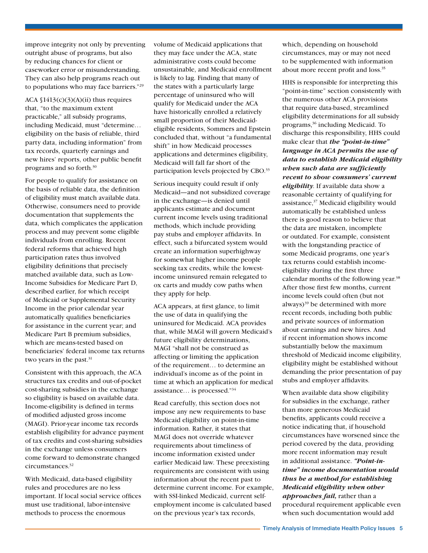improve integrity not only by preventing outright abuse of programs, but also by reducing chances for client or caseworker error or misunderstanding. They can also help programs reach out to populations who may face barriers.["29](#page-9-3)

ACA  $$1413(c)(3)(A)(ii)$  thus requires that, "to the maximum extent practicable," all subsidy programs, including Medicaid, must "determine… eligibility on the basis of reliable, third party data, including information" from tax records, quarterly earnings and new hires' reports, other public benefit programs and so forth[.30](#page-9-4)

For people to qualify for assistance on the basis of reliable data, the definition of eligibility must match available data. Otherwise, consumers need to provide documentation that supplements the data, which complicates the application process and may prevent some eligible individuals from enrolling. Recent federal reforms that achieved high participation rates thus involved eligibility definitions that precisely matched available data, such as Low-Income Subsidies for Medicare Part D, described earlier, for which receipt of Medicaid or Supplemental Security Income in the prior calendar year automatically qualifies beneficiaries for assistance in the current year; and Medicare Part B premium subsidies, which are means-tested based on beneficiaries' federal income tax returns two years in the past.<sup>31</sup>

Consistent with this approach, the ACA structures tax credits and out-of-pocket cost-sharing subsidies in the exchange so eligibility is based on available data. Income-eligibility is defined in terms of modified adjusted gross income (MAGI). Prior-year income tax records establish eligibility for advance payment of tax credits and cost-sharing subsidies in the exchange unless consumers come forward to demonstrate changed circumstances.<sup>32</sup>

With Medicaid, data-based eligibility rules and procedures are no less important. If local social service offices must use traditional, labor-intensive methods to process the enormous

volume of Medicaid applications that they may face under the ACA, state administrative costs could become unsustainable, and Medicaid enrollment is likely to lag. Finding that many of the states with a particularly large percentage of uninsured who will qualify for Medicaid under the ACA have historically enrolled a relatively small proportion of their Medicaideligible residents, Sommers and Epstein concluded that, without "a fundamental shift" in how Medicaid processes applications and determines eligibility, Medicaid will fall far short of the participation levels projected by CBO.<sup>33</sup>

Serious inequity could result if only Medicaid—and not subsidized coverage in the exchange—is denied until applicants estimate and document current income levels using traditional methods, which include providing pay stubs and employer affidavits. In effect, such a bifurcated system would create an information superhighway for somewhat higher income people seeking tax credits, while the lowestincome uninsured remain relegated to ox carts and muddy cow paths when they apply for help.

ACA appears, at first glance, to limit the use of data in qualifying the uninsured for Medicaid. ACA provides that, while MAGI will govern Medicaid's future eligibility determinations, MAGI "shall not be construed as affecting or limiting the application of the requirement… to determine an individual's income as of the point in time at which an application for medical assistance… is processed."[34](#page-9-8)

Read carefully, this section does not impose any new requirements to base Medicaid eligibility on point-in-time information. Rather, it states that MAGI does not override whatever requirements about timeliness of income information existed under earlier Medicaid law. These preexisting requirements are consistent with using information about the recent past to determine current income. For example, with SSI-linked Medicaid, current selfemployment income is calculated based on the previous year's tax records,

which, depending on household circumstances, may or may not need to be supplemented with information about more recent profit and loss[.35](#page-9-9)

HHS is responsible for interpreting this "point-in-time" section consistently with the numerous other ACA provisions that require data-based, streamlined eligibility determinations for all subsidy programs,[36](#page-9-10) including Medicaid. To discharge this responsibility, HHS could make clear that *the "point-in-time" language in ACA permits the use of data to establish Medicaid eligibility when such data are sufficiently recent to show consumers' current eligibility*. If available data show a reasonable certainty of qualifying for assistance[,37](#page-9-11) Medicaid eligibility would automatically be established unless there is good reason to believe that the data are mistaken, incomplete or outdated. For example, consistent with the longstanding practice of some Medicaid programs, one year's tax returns could establish incomeeligibility during the first three calendar months of the following year[.38](#page-10-0) After those first few months, current income levels could often (but not always)[39](#page-10-1) be determined with more recent records, including both public and private sources of information about earnings and new hires. And if recent information shows income substantially below the maximum threshold of Medicaid income eligibility, eligibility might be established without demanding the prior presentation of pay stubs and employer affidavits.

When available data show eligibility for subsidies in the exchange, rather than more generous Medicaid benefits, applicants could receive a notice indicating that, if household circumstances have worsened since the period covered by the data, providing more recent information may result in additional assistance. *"Point-intime" income documentation would thus be a method for establishing Medicaid eligibility when other approaches fail,* rather than a procedural requirement applicable even when such documentation would add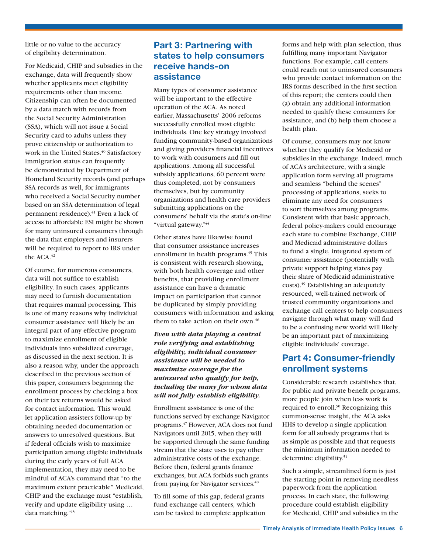little or no value to the accuracy of eligibility determination.

For Medicaid, CHIP and subsidies in the exchange, data will frequently show whether applicants meet eligibility requirements other than income. Citizenship can often be documented by a data match with records from the Social Security Administration (SSA), which will not issue a Social Security card to adults unless they prove citizenship or authorization to work in the United States.<sup>40</sup> Satisfactory immigration status can frequently be demonstrated by Department of Homeland Security records (and perhaps SSA records as well, for immigrants who received a Social Security number based on an SSA determination of legal permanent residence).<sup>41</sup> Even a lack of access to affordable ESI might be shown for many uninsured consumers through the data that employers and insurers will be required to report to IRS under the ACA.<sup>42</sup>

Of course, for numerous consumers, data will not suffice to establish eligibility. In such cases, applicants may need to furnish documentation that requires manual processing. This is one of many reasons why individual consumer assistance will likely be an integral part of any effective program to maximize enrollment of eligible individuals into subsidized coverage, as discussed in the next section. It is also a reason why, under the approach described in the previous section of this paper, consumers beginning the enrollment process by checking a box on their tax returns would be asked for contact information. This would let application assisters follow-up by obtaining needed documentation or answers to unresolved questions. But if federal officials wish to maximize participation among eligible individuals during the early years of full ACA implementation, they may need to be mindful of ACA's command that "to the maximum extent practicable" Medicaid, CHIP and the exchange must "establish, verify and update eligibility using … data matching.["43](#page-10-5)

### **Part 3: Partnering with states to help consumers receive hands-on assistance**

Many types of consumer assistance will be important to the effective operation of the ACA. As noted earlier, Massachusetts' 2006 reforms successfully enrolled most eligible individuals. One key strategy involved funding community-based organizations and giving providers financial incentives to work with consumers and fill out applications. Among all successful subsidy applications, 60 percent were thus completed, not by consumers themselves, but by community organizations and health care providers submitting applications on the consumers' behalf via the state's on-line "virtual gateway.["44](#page-10-6)

Other states have likewise found that consumer assistance increases enrollment in health programs.<sup>45</sup> This is consistent with research showing, with both health coverage and other benefits, that providing enrollment assistance can have a dramatic impact on participation that cannot be duplicated by simply providing consumers with information and asking them to take action on their own. $46$ 

#### *Even with data playing a central role verifying and establishing eligibility, individual consumer assistance will be needed to maximize coverage for the uninsured who qualify for help, including the many for whom data will not fully establish eligibility.*

Enrollment assistance is one of the functions served by exchange Navigator programs[.47](#page-10-9) However, ACA does not fund Navigators until 2015, when they will be supported through the same funding stream that the state uses to pay other administrative costs of the exchange. Before then, federal grants finance exchanges, but ACA forbids such grants from paying for Navigator services.<sup>48</sup>

To fill some of this gap, federal grants fund exchange call centers, which can be tasked to complete application forms and help with plan selection, thus fulfilling many important Navigator functions. For example, call centers could reach out to uninsured consumers who provide contact information on the IRS forms described in the first section of this report; the centers could then (a) obtain any additional information needed to qualify these consumers for assistance, and (b) help them choose a health plan.

Of course, consumers may not know whether they qualify for Medicaid or subsidies in the exchange. Indeed, much of ACA's architecture, with a single application form serving all programs and seamless "behind the scenes" processing of applications, seeks to eliminate any need for consumers to sort themselves among programs. Consistent with that basic approach, federal policy-makers could encourage each state to combine Exchange, CHIP and Medicaid administrative dollars to fund a single, integrated system of consumer assistance (potentially with private support helping states pay their share of Medicaid administrative costs).<sup>49</sup> Establishing an adequately resourced, well-trained network of trusted community organizations and exchange call centers to help consumers navigate through what many will find to be a confusing new world will likely be an important part of maximizing eligible individuals' coverage.

#### **Part 4: Consumer-friendly enrollment systems**

Considerable research establishes that, for public and private benefit programs, more people join when less work is required to enroll[.50](#page-11-2) Recognizing this common-sense insight, the ACA asks HHS to develop a single application form for all subsidy programs that is as simple as possible and that requests the minimum information needed to determine eligibility[.51](#page-11-3)

Such a simple, streamlined form is just the starting point in removing needless paperwork from the application process. In each state, the following procedure could establish eligibility for Medicaid, CHIP and subsidies in the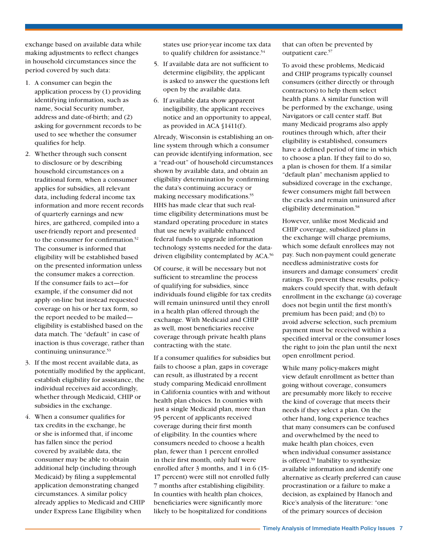exchange based on available data while making adjustments to reflect changes in household circumstances since the period covered by such data:

- 1. A consumer can begin the application process by (1) providing identifying information, such as name, Social Security number, address and date-of-birth; and (2) asking for government records to be used to see whether the consumer qualifies for help.
- 2. Whether through such consent to disclosure or by describing household circumstances on a traditional form, when a consumer applies for subsidies, all relevant data, including federal income tax information and more recent records of quarterly earnings and new hires, are gathered, compiled into a user-friendly report and presented to the consumer for confirmation.<sup>52</sup> The consumer is informed that eligibility will be established based on the presented information unless the consumer makes a correction. If the consumer fails to act—for example, if the consumer did not apply on-line but instead requested coverage on his or her tax form, so the report needed to be mailed eligibility is established based on the data match. The "default" in case of inaction is thus coverage, rather than continuing uninsurance.<sup>53</sup>
- 3. If the most recent available data, as potentially modified by the applicant, establish eligibility for assistance, the individual receives aid accordingly, whether through Medicaid, CHIP or subsidies in the exchange.
- 4. When a consumer qualifies for tax credits in the exchange, he or she is informed that, if income has fallen since the period covered by available data, the consumer may be able to obtain additional help (including through Medicaid) by filing a supplemental application demonstrating changed circumstances. A similar policy already applies to Medicaid and CHIP under Express Lane Eligibility when

states use prior-year income tax data to qualify children for assistance.<sup>54</sup>

- 5. If available data are not sufficient to determine eligibility, the applicant is asked to answer the questions left open by the available data.
- 6. If available data show apparent ineligibility, the applicant receives notice and an opportunity to appeal, as provided in ACA §1411(f).

Already, Wisconsin is establishing an online system through which a consumer can provide identifying information, see a "read-out" of household circumstances shown by available data, and obtain an eligibility determination by confirming the data's continuing accuracy or making necessary modifications.<sup>55</sup> HHS has made clear that such realtime eligibility determinations must be standard operating procedure in states that use newly available enhanced federal funds to upgrade information technology systems needed for the datadriven eligibility contemplated by ACA[.56](#page-11-8)

Of course, it will be necessary but not sufficient to streamline the process of qualifying for subsidies, since individuals found eligible for tax credits will remain uninsured until they enroll in a health plan offered through the exchange. With Medicaid and CHIP as well, most beneficiaries receive coverage through private health plans contracting with the state.

If a consumer qualifies for subsidies but fails to choose a plan, gaps in coverage can result, as illustrated by a recent study comparing Medicaid enrollment in California counties with and without health plan choices. In counties with just a single Medicaid plan, more than 95 percent of applicants received coverage during their first month of eligibility. In the counties where consumers needed to choose a health plan, fewer than 1 percent enrolled in their first month, only half were enrolled after 3 months, and 1 in 6 (15- 17 percent) were still not enrolled fully 7 months after establishing eligibility. In counties with health plan choices, beneficiaries were significantly more likely to be hospitalized for conditions

that can often be prevented by outpatient care.<sup>57</sup>

To avoid these problems, Medicaid and CHIP programs typically counsel consumers (either directly or through contractors) to help them select health plans. A similar function will be performed by the exchange, using Navigators or call center staff. But many Medicaid programs also apply routines through which, after their eligibility is established, consumers have a defined period of time in which to choose a plan. If they fail to do so, a plan is chosen for them. If a similar "default plan" mechanism applied to subsidized coverage in the exchange, fewer consumers might fall between the cracks and remain uninsured after eligibility determination[.58](#page-11-10)

However, unlike most Medicaid and CHIP coverage, subsidized plans in the exchange will charge premiums, which some default enrollees may not pay. Such non-payment could generate needless administrative costs for insurers and damage consumers' credit ratings. To prevent these results, policymakers could specify that, with default enrollment in the exchange (a) coverage does not begin until the first month's premium has been paid; and (b) to avoid adverse selection, such premium payment must be received within a specified interval or the consumer loses the right to join the plan until the next open enrollment period.

While many policy-makers might view default enrollment as better than going without coverage, consumers are presumably more likely to receive the kind of coverage that meets their needs if they select a plan. On the other hand, long experience teaches that many consumers can be confused and overwhelmed by the need to make health plan choices, even when individual consumer assistance is offered[.59](#page-11-11) Inability to synthesize available information and identify one alternative as clearly preferred can cause procrastination or a failure to make a decision, as explained by Hanoch and Rice's analysis of the literature: "one of the primary sources of decision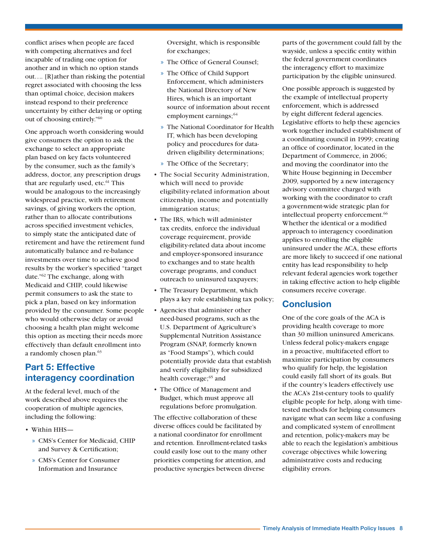conflict arises when people are faced with competing alternatives and feel incapable of trading one option for another and in which no option stands out…. [R]ather than risking the potential regret associated with choosing the less than optimal choice, decision makers instead respond to their preference uncertainty by either delaying or opting out of choosing entirely.["60](#page-11-12)

One approach worth considering would give consumers the option to ask the exchange to select an appropriate plan based on key facts volunteered by the consumer, such as the family's address, doctor, any prescription drugs that are regularly used, etc.<sup>61</sup> This would be analogous to the increasingly widespread practice, with retirement savings, of giving workers the option, rather than to allocate contributions across specified investment vehicles, to simply state the anticipated date of retirement and have the retirement fund automatically balance and re-balance investments over time to achieve good results by the worker's specified "target date.["62](#page-11-14) The exchange, along with Medicaid and CHIP, could likewise permit consumers to ask the state to pick a plan, based on key information provided by the consumer. Some people who would otherwise delay or avoid choosing a health plan might welcome this option as meeting their needs more effectively than default enrollment into a randomly chosen plan.<sup>63</sup>

#### **Part 5: Effective interagency coordination**

At the federal level, much of the work described above requires the cooperation of multiple agencies, including the following:

- • Within HHS—
	- » CMS's Center for Medicaid, CHIP and Survey & Certification;
	- » CMS's Center for Consumer Information and Insurance

Oversight, which is responsible for exchanges;

- » The Office of General Counsel;
- » The Office of Child Support Enforcement, which administers the National Directory of New Hires, which is an important source of information about recent employment earnings;<sup>[64](#page-11-16)</sup>
- » The National Coordinator for Health IT, which has been developing policy and procedures for datadriven eligibility determinations;
- » The Office of the Secretary;
- The Social Security Administration, which will need to provide eligibility-related information about citizenship, income and potentially immigration status;
- The IRS, which will administer tax credits, enforce the individual coverage requirement, provide eligibility-related data about income and employer-sponsored insurance to exchanges and to state health coverage programs, and conduct outreach to uninsured taxpayers;
- The Treasury Department, which plays a key role establishing tax policy;
- Agencies that administer other need-based programs, such as the U.S. Department of Agriculture's Supplemental Nutrition Assistance Program (SNAP, formerly known as "Food Stamps"), which could potentially provide data that establish and verify eligibility for subsidized health coverage;<sup>65</sup> and
- The Office of Management and Budget, which must approve all regulations before promulgation.

The effective collaboration of these diverse offices could be facilitated by a national coordinator for enrollment and retention. Enrollment-related tasks could easily lose out to the many other priorities competing for attention, and productive synergies between diverse

parts of the government could fall by the wayside, unless a specific entity within the federal government coordinates the interagency effort to maximize participation by the eligible uninsured.

One possible approach is suggested by the example of intellectual property enforcement, which is addressed by eight different federal agencies. Legislative efforts to help these agencies work together included establishment of a coordinating council in 1999; creating an office of coordinator, located in the Department of Commerce, in 2006; and moving the coordinator into the White House beginning in December 2009, supported by a new interagency advisory committee charged with working with the coordinator to craft a government-wide strategic plan for intellectual property enforcement.<sup>[66](#page-11-18)</sup> Whether the identical or a modified approach to interagency coordination applies to enrolling the eligible uninsured under the ACA, these efforts are more likely to succeed if one national entity has lead responsibility to help relevant federal agencies work together in taking effective action to help eligible consumers receive coverage.

#### **Conclusion**

One of the core goals of the ACA is providing health coverage to more than 30 million uninsured Americans. Unless federal policy-makers engage in a proactive, multifaceted effort to maximize participation by consumers who qualify for help, the legislation could easily fall short of its goals. But if the country's leaders effectively use the ACA's 21st-century tools to qualify eligible people for help, along with timetested methods for helping consumers navigate what can seem like a confusing and complicated system of enrollment and retention, policy-makers may be able to reach the legislation's ambitious coverage objectives while lowering administrative costs and reducing eligibility errors.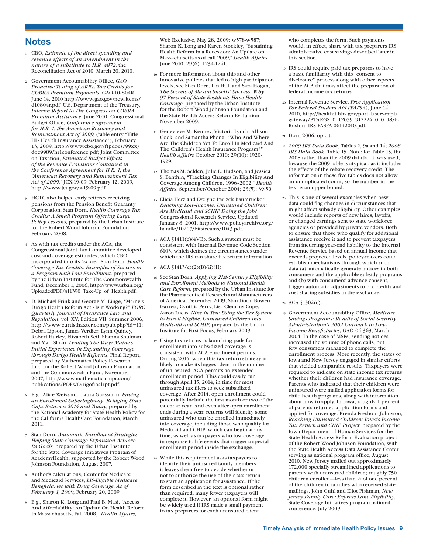#### **Notes**

- <span id="page-8-0"></span><sup>1</sup> CBO, *Estimate of the direct spending and revenue effects of an amendment in the nature of a substitute to H.R. 4872*, the Reconciliation Act of 2010, March 20, 2010.
- <span id="page-8-1"></span><sup>2</sup> Government Accountability Office, *GAO Proactive Testing of ARRA Tax Credits for COBRA Premium Payments*, GAO-10-804R, June 14, 2010 [http://www.gao.gov/new.items/](http://www.gao.gov/new.items/d10804r.pdf) [d10804r.pdf](http://www.gao.gov/new.items/d10804r.pdf); U.S. Department of the Treasury, *Interim Report to The Congress on COBRA Premium Assistance,* June 2010; Congressional Budget Office, *Conference agreement for H.R. 1, the American Recovery and Reinvestment Act of 2009,* (table entry "Title III - Health Insurance Assistance"), February 13, 2009, [http://www.cbo.gov/ftpdocs/99xx/](http://www.cbo.gov/ftpdocs/99xx/doc9989/hr1conference.pdf) [doc9989/hr1conference.pdf;](http://www.cbo.gov/ftpdocs/99xx/doc9989/hr1conference.pdf) Joint Committee on Taxation, *Estimated Budget Effects of the Revenue Provisions Contained in the Conference Agreement for H.R. 1, the "American Recovery and Reinvestment Tax Act of 2009,"* JCX-19-09, February 12, 2009, [http://www.jct.gov/x-19-09.pdf.](http://www.jct.gov/x-19-09.pdf)
- <span id="page-8-2"></span><sup>3</sup> HCTC also helped early retirees receiving pensions from the Pension Benefit Guaranty Corporation. Stan Dorn, *Health Coverage Tax Credits: A Small Program Offering Large Policy Lessons,* prepared by the Urban Institute for the Robert Wood Johnson Foundation, February 2008.
- <span id="page-8-3"></span>As with tax credits under the ACA, the Congressional Joint Tax Committee developed cost and coverage estimates, which CBO incorporated into its "score." Stan Dorn, *Health Coverage Tax Credits: Examples of Success in a Program with Low Enrollment,* prepared by the Urban Institute for The Commonwealth Fund, December 1, 2006, [http://www.urban.org/](http://www.urban.org/UploadedPDF/411390_Take-Up_of_Health.pdf) [UploadedPDF/411390\\_Take-Up\\_of\\_Health.pdf.](http://www.urban.org/UploadedPDF/411390_Take-Up_of_Health.pdf)
- <span id="page-8-4"></span><sup>5</sup> D. Michael Frink and George M. Linge, "Maine's Dirigo Health Reform Act - Is it Working?" *FORC Quarterly Journal of Insurance Law and Regulation*, vol. XV, Edition VII, Summer 2006, [http://www.curtisthaxter.com/pub.php?id=11;](http://www.curtisthaxter.com/pub.php?id=11) Debra Lipson, James Verdier, Lynn Quincy, Robert Hurley, Elizabeth Seif, Shanna Shulman, and Matt Sloan, *Leading The Way? Maine's Initial Experience in Expanding Coverage through Dirigo Health Reforms*, Final Report, prepared by Mathematica Policy Research, Inc., for the Robert Wood Johnson Foundation and the Commonwealth Fund, November 2007, [http://www.mathematica-mpr.com/](http://www.mathematica-mpr.com/publications/PDFs/Dirigofinalrpt.pdf) [publications/PDFs/Dirigofinalrpt.pdf](http://www.mathematica-mpr.com/publications/PDFs/Dirigofinalrpt.pdf).
- <span id="page-8-5"></span><sup>6</sup> E.g., Alice Weiss and Laura Grossman, *Paving an Enrollment Superhighway: Bridging State Gaps Between 2014 and Today*, prepared by the National Academy for State Health Policy for the California HealthCare Foundation, March 2011.
- <span id="page-8-6"></span><sup>7</sup> Stan Dorn, *Automatic Enrollment Strategies: Helping State Coverage Expansion Achieve Its Goals,* prepared by the Urban Institute for the State Coverage Initiatives Program of AcademyHealth, supported by the Robert Wood Johnson Foundation, August 2007.
- <span id="page-8-7"></span><sup>8</sup> Author's calculations, Center for Medicare and Medicaid Services, *LIS-Eligible Medicare Beneficiaries with Drug Coverage, As of February 1, 2009,* February 20, 2009.
- <span id="page-8-8"></span><sup>9</sup> E.g., Sharon K. Long and Paul B. Masi, "Access And Affordability: An Update On Health Reform In Massachusetts, Fall 2008," *Health Affairs*,

Web Exclusive, May 28, 2009: w578-w587; Sharon K. Long and Karen Stockley, "Sustaining Health Reform in a Recession: An Update on Massachusetts as of Fall 2009," *Health Affairs* June 2010; 29(6): 1234-1241.

- <span id="page-8-9"></span><sup>10</sup> For more information about this and other innovative policies that led to high participation levels, see Stan Dorn, Ian Hill, and Sara Hogan, *The Secrets of Massachusetts' Success: Why 97 Percent of State Residents Have Health Coverage*, prepared by the Urban Institute for the Robert Wood Johnson Foundation and the State Health Access Reform Evaluation, November 2009.
- <span id="page-8-10"></span><sup>11</sup> Genevieve M. Kenney, Victoria Lynch, Allison Cook, and Samantha Phong, "Who And Where Are The Children Yet To Enroll In Medicaid And The Children's Health Insurance Program?" *Health Affairs* October 2010; 29(10): 1920- 1929.
- <span id="page-8-11"></span><sup>12</sup> Thomas M. Selden, Julie L. Hudson, and Jessica S. Banthin, "Tracking Changes In Eligibility And Coverage Among Children, 1996–2002," *Health Affairs*, September/October 2004; 23(5): 39-50.
- <span id="page-8-12"></span><sup>13</sup> Elicia Herz and Evelyne Parizek Baumrucker, *Reaching Low-Income, Uninsured Children: Are Medicaid and SCHIP Doing the Job?* Congressional Research Service, Updated January 8, 2001, [http://www.policyarchive.org/](http://www.policyarchive.org/handle/10207/bitstreams/1043.pdf) [handle/10207/bitstreams/1043.pdf](http://www.policyarchive.org/handle/10207/bitstreams/1043.pdf).
- <span id="page-8-13"></span> $14$  ACA  $1411(c)(4)(B)$ . Such a system must be consistent with Internal Revenue Code Section 6103, which defines the circumstances under which the IRS can share tax return information.
- <span id="page-8-14"></span><sup>15</sup> ACA §1413(c)(2)(B)(ii)(II).
- <span id="page-8-19"></span><sup>16</sup> See Stan Dorn, *Applying 21st-Century Eligibility and Enrollment Methods to National Health Care Reform,* prepared by the Urban Institute for the Pharmaceutical Research and Manufacturers of America, December 2009; Stan Dorn, Bowen Garrett, Cynthia Perry, Lisa Clemans-Cope, Aaron Lucas, *Nine in Ten: Using the Tax System to Enroll Eligible, Uninsured Children into Medicaid and SCHIP,* prepared by the Urban Institute for First Focus, February 2009.
- <span id="page-8-15"></span><sup>17</sup> Using tax returns as launching pads for enrollment into subsidized coverage is consistent with ACA enrollment periods. During 2014, when this tax return strategy is likely to make its biggest dent in the number of uninsured, ACA permits an extended enrollment period. This could easily run through April 15, 2014, in time for most uninsured tax filers to seek subsidized coverage. After 2014, open enrollment could potentially include the first month or two of the calendar year. And even after open enrollment ends during a year, returns will identify some uninsured who can be enrolled immediately into coverage, including those who qualify for Medicaid and CHIP, which can begin at any time, as well as taxpayers who lost coverage in response to life events that trigger a special enrollment period inside the exchange.
- <span id="page-8-16"></span><sup>18</sup> While this requirement asks taxpayers to identify their uninsured family members, it leaves them free to decide whether or not to authorize the use of their tax return to start an application for assistance. If the form described in the text is optional rather than required, many fewer taxpayers will complete it. However, an optional form might be widely used if IRS made a small payment to tax preparers for each uninsured client

who completes the form. Such payments would, in effect, share with tax preparers IRS' administrative cost savings described later in this section.

- <span id="page-8-17"></span><sup>19</sup> IRS could require paid tax preparers to have a basic familiarity with this "consent to disclosure" process along with other aspects of the ACA that may affect the preparation of federal income tax returns.
- <span id="page-8-18"></span><sup>20</sup> Internal Revenue Service, *Free Application For Federal Student Aid (FAFSA)*, June 14, 2010, [http://healthit.hhs.gov/portal/server.pt/](http://healthit.hhs.gov/portal/server.pt/gateway/PTARGS_0_12059_912224_0_0_18/6-Rushin_IRS-FASFA-06142010.pdf) [gateway/PTARGS\\_0\\_12059\\_912224\\_0\\_0\\_18/6-](http://healthit.hhs.gov/portal/server.pt/gateway/PTARGS_0_12059_912224_0_0_18/6-Rushin_IRS-FASFA-06142010.pdf) [Rushin\\_IRS-FASFA-06142010.pdf](http://healthit.hhs.gov/portal/server.pt/gateway/PTARGS_0_12059_912224_0_0_18/6-Rushin_IRS-FASFA-06142010.pdf).
- <span id="page-8-20"></span><sup>21</sup> Dorn 2006, op cit.
- <span id="page-8-21"></span><sup>22</sup> *2009 IRS Data Book*, Tables 2, 9a and 14; *2008 IRS Data Book*, Table 15. Note: for Table 15, the 2008 rather than the 2009 data book was used, because the 2009 table is atypical, as it includes the effects of the rebate recovery credit. The information in these five tables does not allow an unduplicated count, so the number in the text is an upper bound.
- <span id="page-8-22"></span><sup>23</sup> This is one of several examples when new data could flag changes in circumstances that might affect subsidy eligibility. Other examples would include reports of new hires, layoffs, or changed earnings sent to state workforce agencies or provided by private vendors. Both to ensure that those who qualify for additional assistance receive it and to prevent taxpayers from incurring year-end liability to the Internal Revenue Service based on annual income that exceeds projected levels, policy-makers could establish mechanisms through which such data (a) automatically generate notices to both consumers and the applicable subsidy programs and (b) with consumers' advance consent, trigger automatic adjustments to tax credits and cost-sharing subsidies in the exchange.

#### <span id="page-8-23"></span><sup>24</sup> ACA §1502(c).

<span id="page-8-24"></span><sup>25</sup> Government Accountability Office, *Medicare Savings Programs: Results of Social Security Administration's 2002 Outreach to Low-Income Beneficiaries*, GAO-04-363, March 2004. In the case of MSPs, sending notices increased the volume of phone calls, but few consumers managed to complete the enrollment process. More recently, the states of Iowa and New Jersey engaged in similar efforts that yielded comparable results. Taxpayers were required to indicate on state income tax returns whether their children had insurance coverage. Parents who indicated that their children were uninsured were mailed application forms for child health programs, along with information about how to apply. In Iowa, roughly 1 percent of parents returned application forms and applied for coverage. Brenda Freshour Johnston, *Reaching Uninsured Children: Iowa's Income Tax Return and CHIP Project*, prepared by the Iowa Department of Human Services for the State Health Access Reform Evaluation project of the Robert Wood Johnson Foundation, with the State Health Access Data Assistance Center serving as national program office, August 2010. New Jersey mailed out approximately 172,000 specially streamlined applications to parents with uninsured children; roughly 750 children enrolled—less than ½ of one percent of the children in families who received state mailings. John Guhl and Eliot Fishman, *New Jersey Family Care: Express Lane Eligibility,*  State Coverage Initiatives program national conference, July 2009.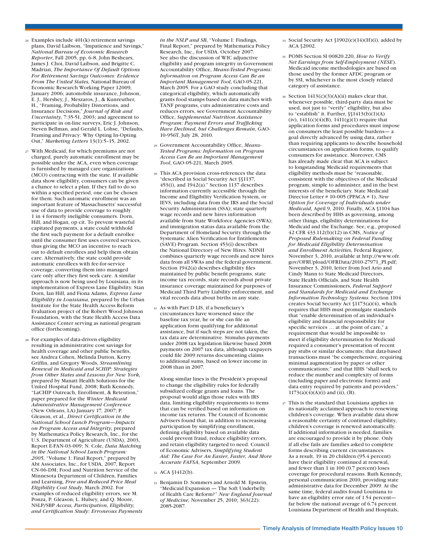- <span id="page-9-0"></span><sup>26</sup> Examples include 401(k) retirement savings plans, David Laibson, "Impatience and Savings," *National Bureau of Economic Research Reporter*, Fall 2005, pp. 6-8, John Beshears, James J. Choi, David Laibson, and Brigitte C. Madrian, *The Importance Of Default Options For Retirement Savings Outcomes: Evidence From The United States,* National Bureau of Economic Research Working Paper 12009, January 2006; automobile insurance, Johnson, E. J., Hershey, J., Meszaros, J., & Kunreuther, H., "Framing, Probability Distortions, and Insurance Decisions," *Journal of Risk and Uncertainty,* 7:35-51, 2003; and agreement to participate in on-line surveys, Eric J. Johnson, Steven Bellman, and Gerald L. Lohse, "Defaults, Framing and Privacy: Why Opting In-Opting Out," *Marketing Letters* 13(1):5–15, 2002.
- <span id="page-9-1"></span><sup>27</sup> With Medicaid, for which premiums are not charged, purely automatic enrollment may be possible under the ACA, even when coverage is furnished by managed care organizations (MCO) contracting with the state. If available data show eligibility, consumers can be given a chance to select a plan. If they fail to do so within a specified period, one can be chosen for them. Such automatic enrollment was an important feature of Massachusetts' successful use of data to provide coverage to roughly 1 in 4 formerly ineligible consumers. Dorn, Hill, and Hogan, op cit. To prevent wasteful capitated payments, a state could withhold the first such payment for a default enrollee until the consumer first uses covered services, thus giving the MCO an incentive to reach out to default enrollees and help them obtain care. Alternatively, the state could provide automatic enrollees with fee-for-service coverage, converting them into managed care only after they first seek care. A similar approach is now being used by Louisiana, in its implementation of Express Lane Eligibility. Stan Dorn, Ian Hill, and Fiona Adams, *Express Lane Eligibility in Louisiana*, prepared by the Urban Institute for the State Health Access Reform Evaluation project of the Robert Wood Johnson Foundation, with the State Health Access Data Assistance Center serving as national program office (forthcoming).
- <span id="page-9-2"></span><sup>28</sup> For examples of data-driven eligibility resulting in administrative cost savings for health coverage and other public benefits, see Andrea Cohen, Melinda Dutton, Kerry Griffin, and Gregory Woods, *Streamlining Renewal in Medicaid and SCHIP: Strategies from Other States and Lessons for New York,*  prepared by Manatt Health Solutions for the United Hospital Fund, 2008; Ruth Kennedy, "LaCHIP Outreach, Enrollment, & Retention," paper prepared for the *Winter Medicaid Administrative Management Conference* (New Orleans, LA) January 17, 2007; P. Gleason, et al., *Direct Certification in the National School Lunch Program—Impacts on Program Access and Integrity,* prepared by Mathematica Policy Research, Inc., for the U.S. Department of Agriculture (USDA), 2003, Report E-FAN-03-009; N. Cole, *Data Matching in the National School Lunch Program: 2005,* "Volume 1: Final Report," prepared by Abt Associates, Inc., for USDA, 2007, Report CN-06-DM; Food and Nutrition Service of the Minnesota Department of Children, Families and Learning, *Free and Reduced Price Meal Eligibility Cost Study*, March 2002. For examples of reduced eligibility errors, see M. Ponza, P. Gleason, L. Hulsey, and Q. Moore, NSLP/SBP *Access, Participation, Eligibility, and Certification Study: Erroneous Payments*

*in the NSLP and SB,* "Volume I: Findings, Final Report," prepared by Mathematica Policy Research, Inc., for USDA. October 2007. See also the discussion of WIC adjunctive eligibility and program integrity in Government Accountability Office, *Means-Tested Programs: Information on Program Access Can Be an Important Management Tool,* GAO-05-221, March 2005. For a GAO study concluding that categorical eligibility, which automatically grants food stamps based on data matches with TANF programs, cuts administrative costs and reduces errors, see Government Accountability Office, *Supplemental Nutrition Assistance Program: Payment Errors and Trafficking Have Declined, but Challenges Remain*, GAO-10-956T, July 28, 2010.

- <span id="page-9-3"></span><sup>29</sup> Government Accountability Office, *Means-Tested Programs: Information on Program Access Can Be an Important Management Tool*, GAO-05-221, March 2005.
- <span id="page-9-4"></span><sup>30</sup> This ACA provision cross-references the data "described in Social Security Act §§1137, 453(i), and 1942(a)." Section 1137 describes information currently accessible through the Income and Eligibility Verification System, or IEVS, including data from the IRS and the Social Security Administration (SSA); state quarterly wage records and new hires information available from State Workforce Agencies (SWA); and immigration status data available from the Department of Homeland Security through the Systematic Alien Verification for Entitlements (SAVE) Program. Section 453(i) describes the National Directory of New Hires. NDNH combines quarterly wage records and new hires data from all SWAs and the federal government. Section 1942(a) describes eligibility files maintained by public benefit programs, state income tax records, state records about private insurance coverage maintained for purposes of Medicaid Third Party Liability enforcement, and vital records data about births in any state.
- <span id="page-9-5"></span><sup>31</sup> As with Part D LIS, if a beneficiary's circumstances have worsened since the baseline tax year, he or she can file an application form qualifying for additional assistance, but if such steps are not taken, the tax data are determinative. Stimulus payments under 2008 tax legislation likewise based 2008 payments on 2007 tax data, although taxpayers could file 2009 returns documenting claims to additional sums, based on lower income in 2008 than in 2007.

Along similar lines is the President's proposal to change the eligibility rules for federally subsidized college grants and loans. The proposal would align those rules with IRS data, limiting eligibility requirements to items that can be verified based on information on income tax returns. The Council of Economic Advisers found that, in addition to increasing participation by simplifying enrollment, defining eligibility based on available data could prevent fraud, reduce eligibility errors, and retain eligibility targeted to need. Council of Economic Advisers, *Simplifying Student Aid: The Case For An Easier, Faster, And More Accurate FAFSA,* September 2009.

- <span id="page-9-6"></span><sup>32</sup> ACA §1412(b).
- <span id="page-9-7"></span><sup>33</sup> Benjamin D. Sommers and Arnold M. Epstein, "Medicaid Expansion — The Soft Underbelly of Health Care Reform?" *New England Journal of Medicine,* November 25, 2010; 363(22): 2085-2087.
- <span id="page-9-8"></span><sup>34</sup> Social Security Act §1902(e)(14)(H)(i), added by ACA §2002.
- <span id="page-9-9"></span><sup>35</sup> POMS Section SI 00820.220, *How to Verify Net Earnings from Self-Employment (NESE*). Medicaid income methodologies are based on those used by the former AFDC program or by SSI, whichever is the most closely related category of assistance.
- <span id="page-9-10"></span><sup>36</sup> Section 1413(c)(3)(A)(ii) makes clear that, whenever possible, third-party data must be used, not just to "verify" eligibility, but also to "establish" it. Further, §§1413(b)(1)(A) (iv),  $1411(c)(4)(B)$ ,  $1411(g)(1)$  require that application forms and procedures must impose on consumers the least possible burdens— a goal directly advanced by using data, rather than requiring applicants to describe household circumstances on application forms, to qualify consumers for assistance. Moreover, CMS has already made clear that ACA is subject to longstanding Medicaid requirements that eligibility methods must be "reasonable, consistent with the objectives of the Medicaid program, simple to administer, and in the best interests of the beneficiary. State Medicaid Director Letter # 10-005 (PPACA # 1), *New Option for Coverage of Individuals under Medicaid,* April 9, 2010. Finally, ACA §1104 has been described by HHS as governing, among other things, eligibility determinations for Medicaid and the Exchange. See, e.g., proposed 42 CFR 433.112(b)(12) in CMS, *Notice of Proposed Rulemaking on Federal Funding for Medicaid Eligibility Determination and Enrollment Activities,* Federal Register, November 3, 2010, available at [http://www.ofr.](http://www.ofr.gov/OFRUpload/OFRData/2010-27971_PI.pdf) [gov/OFRUpload/OFRData/2010-27971\\_PI.pdf](http://www.ofr.gov/OFRUpload/OFRData/2010-27971_PI.pdf); November 3, 2010, letter from Joel Ario and Cindy Mann to State Medicaid Directors, State Health Officials, and State Health Insurance Commissioners, *Federal Support and Standards for Medicaid and Exchange Information Technology Systems*. Section 1104 creates Social Security Act §1173(a)(4), which requires that HHS must promulgate standards that "enable determination of an individual's eligibility and financial responsibility for specific services … at the point of care," a requirement that would be impossible to meet if eligibility determination for Medicaid required a consumer's presentation of recent pay stubs or similar documents; that data-based transactions must "be comprehensive, requiring minimal augmentation by paper or other communications;" and that HHS "shall seek to reduce the number and complexity of forms (including paper and electronic forms) and data entry required by patients and providers."  $1173(a)(4)(A)(i)$  and (ii), (B).
- <span id="page-9-11"></span><sup>37</sup> This is the standard that Louisiana applies in its nationally acclaimed approach to renewing children's coverage. When available data show a reasonable certainty of continued eligibility, children's coverage is renewed automatically. If additional information is needed, families are encouraged to provide it by phone. Only if all else fails are families asked to complete forms describing current circumstances. As a result, 19 in 20 children (95.4 percent) have their eligibility continued at renewal, and fewer than 1 in 100 (0.7 percent) loses coverage for procedural reasons. Ruth Kennedy, personal communication 2010, providing state administrative data for December 2009. At the same time, federal audits found Louisiana to have an eligibility error rate of 1.54 percent far below the national average of 6.74 percent. Louisiana Department of Health and Hospitals,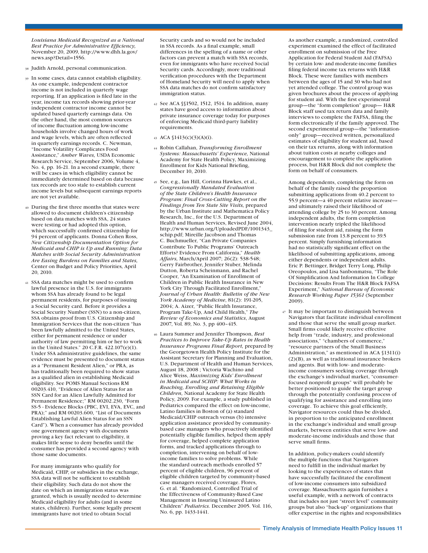*Louisiana Medicaid Recognized as a National Best Practice for Administrative Efficiency,*  November 20, 2009, [http://www.dhh.la.gov/](http://www.dhh.la.gov/news.asp?Detail=1556.) [news.asp?Detail=1556.](http://www.dhh.la.gov/news.asp?Detail=1556.)

- <span id="page-10-0"></span><sup>38</sup> Judith Arnold, personal communication.
- <span id="page-10-1"></span><sup>39</sup> In some cases, data cannot establish eligibility. As one example, independent contractor income is not included in quarterly wage reporting. If an application is filed late in the year, income tax records showing prior-year independent contractor income cannot be updated based quarterly earnings data. On the other hand, the most common sources of income fluctuation among low-income households involve changed hours of work and wage levels, which are often reflected in quarterly earnings records. C. Newman, "Income Volatility Complicates Food Assistance," *Amber Waves,* USDA Economic Research Service, September 2006, Volume 4, No. 4, pp. 16-21. In a second example, there will be cases in which eligibility cannot be immediately determined based on data because tax records are too stale to establish current income levels but subsequent earnings reports are not yet available.
- <span id="page-10-2"></span><sup>40</sup> During the first three months that states were allowed to document children's citizenship based on data matches with SSA, 24 states were testing or had adopted this option, which successfully confirmed citizenship for 94 percent of applicants. Donna Cohen Ross, *New Citizenship Documentation Option for Medicaid and CHIP is Up and Running: Data Matches with Social Security Administration Are Easing Burdens on Families and States,*  Center on Budget and Policy Priorities*,* April 20, 2010.
- <span id="page-10-3"></span><sup>41</sup> SSA data matches might be used to confirm lawful presence in the U.S. for immigrants whom SSA has already found to be legal permanent residents, for purposes of issuing a Social Security card. Before it provides a Social Security Number (SSN) to a non-citizen, SSA obtains proof from U.S. Citizenship and Immigration Services that the non-citizen "has been lawfully admitted to the United States, either for permanent residence or under authority of law permitting him or her to work in the United States." 20 C.F.R. 422.107(e)(1). Under SSA administrative guidelines, the same evidence must be presented to document status as a "Permanent Resident Alien," or PRA, as has traditionally been required to show status as a qualified alien in establishing Medicaid eligibility. See POMS Manual Sections RM 00203.410, "Evidence of Alien Status for an SSN Card for an Alien Lawfully Admitted for Permanent Residence;" RM 00202.230, "Form SS-5 - Evidence Blocks (PBC, EVI, EVA, EVC, and PRA);" and RM 00203.600, "List of Documents Establishing Lawful Alien Status for an SSN Card"). When a consumer has already provided one government agency with documents proving a key fact relevant to eligibility, it makes little sense to deny benefits until the consumer has provided a second agency with those same documents.

For many immigrants who qualify for Medicaid, CHIP, or subsidies in the exchange, SSA data will not be sufficient to establish their eligibility. Such data do not show the date on which an immigration status was granted, which is usually needed to determine Medicaid eligibility for adults (and in some states, children). Further, some legally present immigrants have not tried to obtain Social

Security cards and so would not be included in SSA records. As a final example, small differences in the spelling of a name or other factors can prevent a match with SSA records, even for immigrants who have received Social Security cards. Accordingly, more traditional verification procedures with the Department of Homeland Security will need to apply when SSA data matches do not confirm satisfactory immigration status.

- <span id="page-10-4"></span><sup>42</sup> See ACA §§1502, 1512, 1514. In addition, many states have good access to information about private insurance coverage today for purposes of enforcing Medicaid third-party liability requirements.
- <span id="page-10-5"></span><sup>43</sup> ACA §1413(c)(3)(A)(i).
- <span id="page-10-6"></span><sup>44</sup> Robin Callahan, *Transforming Enrollment Systems: Massachusetts' Experience,* National Academy for State Health Policy, Maximizing Enrollment for Kids National Briefing, December 10, 2010.
- <span id="page-10-7"></span><sup>45</sup> See, e.g., Ian Hill, Corinna Hawkes, et al., *Congressionally Mandated Evaluation of the State Children's Health Insurance Program: Final Cross-Cutting Report on the Findings from Ten State Site Visits,* prepared by the Urban Institute and Mathematica Policy Research, Inc., for the U.S. Department of Health and Human Services, Revised June 2004, [http://www.urban.org/UploadedPDF/1001343\\_](http://www.urban.org/UploadedPDF/1001343_schip.pdf) [schip.pdf;](http://www.urban.org/UploadedPDF/1001343_schip.pdf) Mireille Jacobson and Thomas C. Buchmueller, "Can Private Companies Contribute To Public Programs' Outreach Efforts? Evidence From California," *Health Affairs,* March/April 2007; 26(2): 538-548; Gerry Fairbrother, Jennifer Stuber, Melinda Dutton, Roberta Scheinmann, and Rachel Cooper, "An Examination of Enrollment of Children in Public Health Insurance in New York City Through Facilitated Enrollment," *Journal of Urban Health: Bulletin of the New York Academy of Medicine*, 81(2): 191-205, 2004; A. Aizer, "Public Health Insurance, Program Take-Up, And Child Health," *The Review of Economics and Statistics*, August 2007, Vol. 89, No. 3, pp 400–415.
- <span id="page-10-8"></span><sup>46</sup> Laura Summer and Jennifer Thompson, *Best Practices to Improve Take-Up Rates in Health Insurance Programs Final Report,* prepared by the Georgetown Health Policy Institute for the Assistant Secretary for Planning and Evaluation, U.S. Department of Health and Human Services, August 18, 2008 ; Victoria Wachino and Alice Weiss, *Maximizing Kids' Enrollment in Medicaid and SCHIP: What Works in Reaching, Enrolling and Retaining Eligible Children,* National Academy for State Health Policy, 2009. For example, a study published in Pediatrics compared the effect on low-income, Latino families in Boston of (a) standard Medicaid/CHIP outreach versus (b) intensive application assistance provided by communitybased case managers who proactively identified potentially eligible families, helped them apply for coverage, helped complete application forms, and tracked applications through to completion, intervening on behalf of lowincome families to solve problems. While the standard outreach methods enrolled 57 percent of eligible children, 96 percent of eligible children targeted by community-based case managers received coverage. Flores, G. et al. "Randomized, Controlled Trial of the Effectiveness of Community-Based Case Management in Insuring Uninsured Latino Children" *Pediatrics.* December 2005. Vol. 116, No. 6, pp. 1433-1441.

As another example, a randomized, controlled experiment examined the effect of facilitated enrollment on submission of the Free Application for Federal Student Aid (FAFSA) by certain low- and moderate-income families filing federal income tax returns with H&R Block. These were families with members between the ages of 15 and 30 who had not yet attended college. The control group was given brochures about the process of applying for student aid. With the first experimental group—the "form completion" group— H&R Block staff used tax return data and family interviews to complete the FAFSA, filing the form electronically if the family approved. The second experimental group—the "informationonly" group—received written, personalized estimates of eligibility for student aid, based on their tax returns, along with information about tuition costs at nearby colleges and encouragement to complete the application process, but H&R Block did not complete the form on behalf of consumers.

Among dependents, completing the form on behalf of the family raised the proportion submitting applications from 40.2 percent to 55.9 percent—a 40 percent relative increase and ultimately raised their likelihood of attending college by 25 to 30 percent. Among independent adults, the form completion intervention nearly tripled the likelihood of filing for student aid, raising the form submission rate from 13.8 percent to 39.5 percent. Simply furnishing information had no statistically significant effect on the likelihood of submitting applications, among either dependents or independent adults. Eric P. Bettinger, Bridget Terry Long, Philip Oreopoulos, and Lisa Sanbonmatsu, "The Role Of Simplification And Information In College Decisions: Results From The H&R Block FAFSA Experiment," *National Bureau of Economic Research Working Paper 15361* (September 2009).

<span id="page-10-9"></span><sup>47</sup> It may be important to distinguish between Navigators that facilitate individual enrollment and those that serve the small group market. Small firms could likely receive effective help from "trade, industry, and professional associations," "chambers of commerce," "resource partners of the Small Business Administration," as mentioned in ACA §1311(i) (2)(B), as well as traditional insurance brokers and agents. But with low- and moderateincome consumers seeking coverage through the exchange's individual market, "consumerfocused nonprofit groups" will probably be better positioned to guide the target group through the potentially confusing process of qualifying for assistance and enrolling into coverage. To achieve this goal efficiently, Navigator resources could thus be divided, in proportion to the anticipated enrollment in the exchange's individual and small group markets, between entities that serve low- and moderate-income individuals and those that serve small firms.

In addition, policy-makers could identify the multiple functions that Navigators need to fulfill in the individual market by looking to the experiences of states that have successfully facilitated the enrollment of low-income consumers into subsidized coverage. Massachusetts again furnishes a useful example, with a network of contracts that includes not just "street level" community groups but also "back-up" organizations that offer expertise in the rights and responsibilities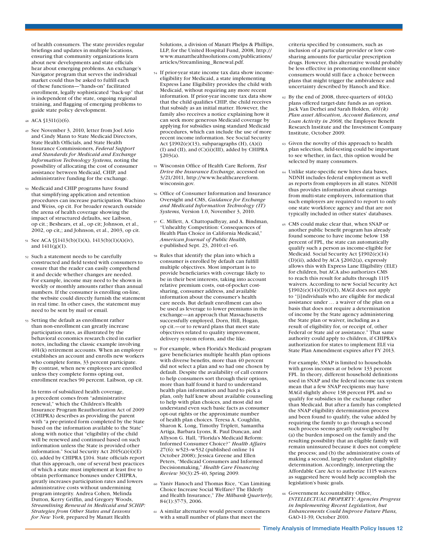of health consumers. The state provides regular briefings and updates in multiple locations, ensuring that community organizations learn about new developments and state officials hear about emerging problems. An exchange's Navigator program that serves the individual market could thus be asked to fulfill each of these functions—"hands-on" facilitated enrollment, legally sophisticated "back-up" that is independent of the state, ongoing regional training, and flagging of emerging problems to guide state policy development.

- <span id="page-11-0"></span><sup>48</sup> ACA §1311(i)(6).
- <span id="page-11-1"></span><sup>49</sup> See November 3, 2010, letter from Joel Ario and Cindy Mann to State Medicaid Directors, State Health Officials, and State Health Insurance Commissioners, *Federal Support and Standards for Medicaid and Exchange Information Technology Systems,* noting the possibility of allocating the cost of consumer assistance between Medicaid, CHIP, and administrative funding for the exchange.
- <span id="page-11-2"></span><sup>50</sup> Medicaid and CHIP programs have found that simplifying application and retention procedures can increase participation. Wachino and Weiss, op cit. For broader research outside the arena of health coverage showing the impact of structured defaults, see Laibson, op cit.; Beshears, et al., op cit; Johnson, et al., 2002, op cit,; and Johnson, et al., 2003, op cit.
- <span id="page-11-3"></span><sup>51</sup> See ACA §§1413(b)(1)(A), 1413(b)(1)(A)(iv), and 1411(g)(1).
- <span id="page-11-4"></span><sup>52</sup> Such a statement needs to be carefully constructed and field tested with consumers to ensure that the reader can easily comprehend it and decide whether changes are needed. For example, income may need to be shown in weekly or monthly amounts rather than annual numbers. If the consumer is enrolling on-line, the website could directly furnish the statement in real time. In other cases, the statement may need to be sent by mail or email.
- <span id="page-11-5"></span><sup>53</sup> Setting the default as enrollment rather than non-enrollment can greatly increase participation rates, as illustrated by the behavioral economics research cited in earlier notes, including the classic example involving 401(k) retirement accounts. When an employer establishes an account and enrolls new workers who complete forms, 33 percent participate. By contrast, when new employees are enrolled unless they complete forms opting out, enrollment reaches 90 percent. Laibson, op cit.

In terms of subsidized health coverage, a precedent comes from "administrative renewal," which the Children's Health Insurance Program Reauthorization Act of 2009 (CHIPRA) describes as providing the parent with "a pre-printed form completed by the State based on the information available to the State' along with notice that "eligibility of the child will be renewed and continued based on such information unless the State is provided other information." Social Security Act 2015(a)(4)(E) (i), added by CHIPRA §104. State officials report that this approach, one of several best practices of which a state must implement at least five to obtain performance bonuses under CHIPRA, greatly increases participation rates and lowers administrative costs without undermining program integrity. Andrea Cohen, Melinda Dutton, Kerry Griffin, and Gregory Woods, *Streamlining Renewal in Medicaid and SCHIP: Strategies from Other States and Lessons for New York,* prepared by Manatt Health

Solutions, a division of Manatt Phelps & Phillips, LLP, for the United Hospital Fund, 2008, [http://](http://www.manatthealthsolutions.com/publications/articles/Streamlining_Renewal.pdf) [www.manatthealthsolutions.com/publications/](http://www.manatthealthsolutions.com/publications/articles/Streamlining_Renewal.pdf) [articles/Streamlining\\_Renewal.pdf](http://www.manatthealthsolutions.com/publications/articles/Streamlining_Renewal.pdf).

- <span id="page-11-6"></span><sup>54</sup> If prior-year state income tax data show incomeeligibility for Medicaid, a state implementing Express Lane Eligibility provides the child with Medicaid, without requiring any more recent information. If prior-year income tax data show that the child qualifies CHIP, the child receives that subsidy as an initial matter. However, the family also receives a notice explaining how it can seek more generous Medicaid coverage by applying for subsidies using standard Medicaid procedures, which can include the use of more recent income information. See Social Security Act  $$1902(e)(13)$ , subparagraphs  $(H)$ ,  $(A)(i)$ (I) and (II), and (C)(ii)(III), added by CHIPRA  $$203(a)$ .
- <span id="page-11-7"></span><sup>55</sup> Wisconsin Office of Health Care Reform, *Test Drive the Insurance Exchange,* accessed on 3/21/2011, [http://www.healthcarereform.](http://www.healthcarereform.wisconsin.gov) [wisconsin.gov.](http://www.healthcarereform.wisconsin.gov)
- <span id="page-11-8"></span><sup>56</sup> Office of Consumer Information and Insurance Oversight and CMS, *Guidance for Exchange and Medicaid Information Technology (IT) Systems,* Version 1.0, November 3, 2010.
- <span id="page-11-9"></span><sup>57</sup> C. Millett, A. Chattopadhyay, and A. Bindman, "Unhealthy Competition: Consequences of Health Plan Choice in California Medicaid," *American Journal of Public Health,* e-published Sept. 23, 2010:e1–e6.
- <span id="page-11-10"></span><sup>58</sup> Rules that identify the plan into which a consumer is enrolled by default can fulfill multiple objectives. Most important is to provide beneficiaries with coverage likely to be in their best interests, taking into account relative premium costs, out-of-pocket costsharing, consumer address, and available information about the consumer's health care needs. But default enrollment can also be used as leverage to lower premiums in the exchange—an approach that Massachusetts successfully employed, Dorn, Hill, Hogan, op cit.—or to reward plans that meet state objectives related to quality improvement, delivery system reform, and the like.
- <span id="page-11-11"></span><sup>59</sup> For example, when Florida's Medicaid program gave beneficiaries multiple health plan options with diverse benefits, more than 40 percent did not select a plan and so had one chosen by default. Despite the availability of call centers to help consumers sort through their options, more than half found it hard to understand health plan information and hard to pick a plan, only half knew about available counseling to help with plan choices, and most did not understand even such basic facts as consumer opt-out rights or the approximate number of health plan choices. Teresa A. Coughlin, Sharon K. Long, Timothy Triplett, Samantha Artiga, Barbara Lyons, R. Paul Duncan, and Allyson G. Hall, "Florida's Medicaid Reform: Informed Consumer Choice?" *Health Affairs* 27(6): w523–w532 (published online 14 October 2008); Jessica Greene and Ellen Peters, "Medicaid Consumers and Informed Decisionmaking," *Health Care Financing Review* 30(3):25-40, Spring 2009.
- <span id="page-11-12"></span><sup>60</sup> Yaniv Hanoch and Thomas Rice, "Can Limiting Choice Increase Social Welfare? The Elderly and Health Insurance," *The Milbank Quarterly,* 84(1):37-73, 2006.
- <span id="page-11-13"></span><sup>61</sup> A similar alternative would present consumers with a small number of plans that meet the

criteria specified by consumers, such as inclusion of a particular provider or low costsharing amounts for particular prescription drugs. However, this alternative would probably be less effective in promoting enrollment since consumers would still face a choice between plans that might trigger the ambivalence and uncertainty described by Hanoch and Rice.

- <span id="page-11-14"></span> $62$  By the end of 2008, three-quarters of  $401(k)$ plans offered target-date funds as an option. Jack Van Derhei and Sarah Holden, *401(k) Plan asset Allocation, Account Balances, and Loan Activity in 2008,* the Employee Benefit Research Institute and the Investment Company Institute, October 2009.
- <span id="page-11-15"></span><sup>63</sup> Given the novelty of this approach to health plan selection, field-testing could be important to see whether, in fact, this option would be selected by many consumers.
- <span id="page-11-16"></span><sup>64</sup> Unlike state-specific new hires data bases, NDNH includes federal employment as well as reports from employers in all states. NDNH thus provides information about earnings from multi-state employers, information that such employers are required to report to only one state workforce agency and that are not typically included in other states' databases.
- <span id="page-11-17"></span><sup>65</sup> CMS could make clear that, when SNAP or another public benefit program has already found someone to have income below 138 percent of FPL, the state can automatically qualify such a person as income-eligible for Medicaid. Social Security Act §1902(e)(14) (D)(ii), added by ACA §2002(a), expressly allows this with Express Lane Eligibility (ELE) for children, but ACA also authorizes CMS to reach this result for adults through 1115 waivers. According to new Social Security Act §1902(e)(14)(D)(i)(I), MAGI does not apply to "[i]ndividuals who are eligible for medical assistance under … a waiver of the plan on a basis that does not require a determination of income by the State agency administering the State plan or waiver, including as a result of eligibility for, or receipt of, other Federal or State aid or assistance." That same authority could apply to children, if CHIPRA's authorization for states to implement ELE via State Plan Amendment expires after FY 2013.

For example, SNAP is limited to households with gross incomes at or below 133 percent FPL. In theory, different household definitions used in SNAP and the federal income tax system mean that a few SNAP recipients may have MAGI slightly above 138 percent FPL and so qualify for subsidies in the exchange rather than Medicaid. But after a family has completed the SNAP eligibility determination process and been found to qualify, the value added by requiring the family to go through a second such process seems greatly outweighed by (a) the burden imposed on the family and the resulting possibility that an eligible family will remain uninsured because it does not complete the process; and (b) the administrative costs of making a second, largely redundant eligibility determination. Accordingly, interpreting the Affordable Care Act to authorize 1115 waivers as suggested here would help accomplish the legislation's basic goals.

<span id="page-11-18"></span><sup>66</sup> Government Accountability Office, *INTELLECTUAL PROPERTY: Agencies Progress in Implementing Recent Legislation, but Enhancements Could Improve Future Plans,*  GAO-11-39, October 2010.